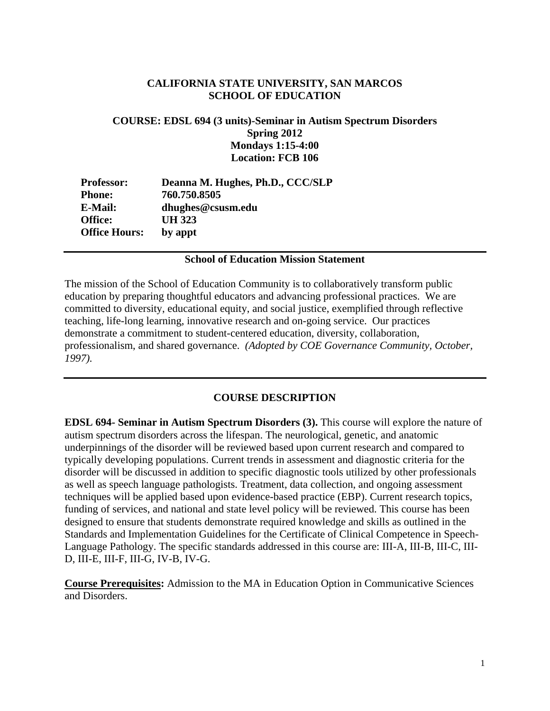## **CALIFORNIA STATE UNIVERSITY, SAN MARCOS SCHOOL OF EDUCATION**

### **COURSE: EDSL 694 (3 units)-Seminar in Autism Spectrum Disorders Spring 2012 Mondays 1:15-4:00 Location: FCB 106**

| <b>Professor:</b>    | Deanna M. Hughes, Ph.D., CCC/SLP |
|----------------------|----------------------------------|
| <b>Phone:</b>        | 760.750.8505                     |
| E-Mail:              | dhughes@csusm.edu                |
| Office:              | UH 323                           |
| <b>Office Hours:</b> | by appt                          |
|                      |                                  |

#### **School of Education Mission Statement**

The mission of the School of Education Community is to collaboratively transform public education by preparing thoughtful educators and advancing professional practices. We are committed to diversity, educational equity, and social justice, exemplified through reflective teaching, life-long learning, innovative research and on-going service. Our practices demonstrate a commitment to student-centered education, diversity, collaboration, professionalism, and shared governance. *(Adopted by COE Governance Community, October, 1997).* 

### **COURSE DESCRIPTION**

**EDSL 694- Seminar in Autism Spectrum Disorders (3).** This course will explore the nature of autism spectrum disorders across the lifespan. The neurological, genetic, and anatomic underpinnings of the disorder will be reviewed based upon current research and compared to typically developing populations. Current trends in assessment and diagnostic criteria for the disorder will be discussed in addition to specific diagnostic tools utilized by other professionals as well as speech language pathologists. Treatment, data collection, and ongoing assessment techniques will be applied based upon evidence-based practice (EBP). Current research topics, funding of services, and national and state level policy will be reviewed. This course has been designed to ensure that students demonstrate required knowledge and skills as outlined in the Standards and Implementation Guidelines for the Certificate of Clinical Competence in Speech-Language Pathology. The specific standards addressed in this course are: III-A, III-B, III-C, III-D, III-E, III-F, III-G, IV-B, IV-G.

**Course Prerequisites:** Admission to the MA in Education Option in Communicative Sciences and Disorders.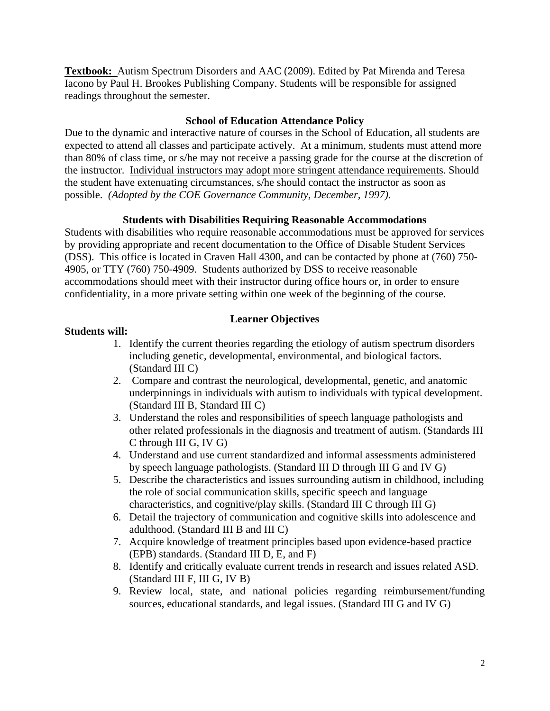**Textbook:** Autism Spectrum Disorders and AAC (2009). Edited by Pat Mirenda and Teresa Iacono by Paul H. Brookes Publishing Company. Students will be responsible for assigned readings throughout the semester.

### **School of Education Attendance Policy**

 possible. *(Adopted by the COE Governance Community, December, 1997).* Due to the dynamic and interactive nature of courses in the School of Education, all students are expected to attend all classes and participate actively. At a minimum, students must attend more than 80% of class time, or s/he may not receive a passing grade for the course at the discretion of the instructor. Individual instructors may adopt more stringent attendance requirements. Should the student have extenuating circumstances, s/he should contact the instructor as soon as

## **Students with Disabilities Requiring Reasonable Accommodations**

Students with disabilities who require reasonable accommodations must be approved for services by providing appropriate and recent documentation to the Office of Disable Student Services (DSS). This office is located in Craven Hall 4300, and can be contacted by phone at (760) 750- 4905, or TTY (760) 750-4909. Students authorized by DSS to receive reasonable accommodations should meet with their instructor during office hours or, in order to ensure confidentiality, in a more private setting within one week of the beginning of the course.

## **Learner Objectives**

## **Students will:**

- 1. Identify the current theories regarding the etiology of autism spectrum disorders including genetic, developmental, environmental, and biological factors. (Standard III C)
- 2. Compare and contrast the neurological, developmental, genetic, and anatomic underpinnings in individuals with autism to individuals with typical development. (Standard III B, Standard III C)
- 3. Understand the roles and responsibilities of speech language pathologists and other related professionals in the diagnosis and treatment of autism. (Standards III C through III G, IV G)
- 4. Understand and use current standardized and informal assessments administered by speech language pathologists. (Standard III D through III G and IV G)
- 5. Describe the characteristics and issues surrounding autism in childhood, including the role of social communication skills, specific speech and language characteristics, and cognitive/play skills. (Standard III C through III G)
- 6. Detail the trajectory of communication and cognitive skills into adolescence and adulthood. (Standard III B and III C)
- 7. Acquire knowledge of treatment principles based upon evidence-based practice (EPB) standards. (Standard III D, E, and F)
- 8. Identify and critically evaluate current trends in research and issues related ASD. (Standard III F, III G, IV B)
- 9. Review local, state, and national policies regarding reimbursement/funding sources, educational standards, and legal issues. (Standard III G and IV G)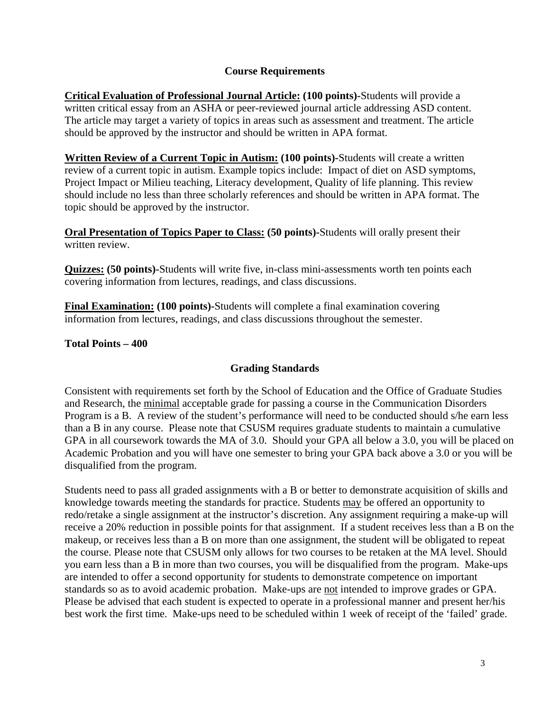### **Course Requirements**

**Critical Evaluation of Professional Journal Article: (100 points)-**Students will provide a written critical essay from an ASHA or peer-reviewed journal article addressing ASD content. The article may target a variety of topics in areas such as assessment and treatment. The article should be approved by the instructor and should be written in APA format.

**Written Review of a Current Topic in Autism: (100 points)-**Students will create a written review of a current topic in autism. Example topics include: Impact of diet on ASD symptoms, Project Impact or Milieu teaching, Literacy development, Quality of life planning. This review should include no less than three scholarly references and should be written in APA format. The topic should be approved by the instructor.

**Oral Presentation of Topics Paper to Class: (50 points)-Students will orally present their** written review.

**Quizzes: (50 points)-**Students will write five, in-class mini-assessments worth ten points each covering information from lectures, readings, and class discussions.

**Final Examination: (100 points)-**Students will complete a final examination covering information from lectures, readings, and class discussions throughout the semester.

## **Total Points – 400**

## **Grading Standards**

Consistent with requirements set forth by the School of Education and the Office of Graduate Studies and Research, the minimal acceptable grade for passing a course in the Communication Disorders Program is a B. A review of the student's performance will need to be conducted should s/he earn less than a B in any course. Please note that CSUSM requires graduate students to maintain a cumulative GPA in all coursework towards the MA of 3.0. Should your GPA all below a 3.0, you will be placed on Academic Probation and you will have one semester to bring your GPA back above a 3.0 or you will be disqualified from the program.

Students need to pass all graded assignments with a B or better to demonstrate acquisition of skills and knowledge towards meeting the standards for practice. Students may be offered an opportunity to redo/retake a single assignment at the instructor's discretion. Any assignment requiring a make-up will receive a 20% reduction in possible points for that assignment. If a student receives less than a B on the makeup, or receives less than a B on more than one assignment, the student will be obligated to repeat the course. Please note that CSUSM only allows for two courses to be retaken at the MA level. Should you earn less than a B in more than two courses, you will be disqualified from the program. Make-ups are intended to offer a second opportunity for students to demonstrate competence on important standards so as to avoid academic probation. Make-ups are not intended to improve grades or GPA. Please be advised that each student is expected to operate in a professional manner and present her/his best work the first time. Make-ups need to be scheduled within 1 week of receipt of the 'failed' grade.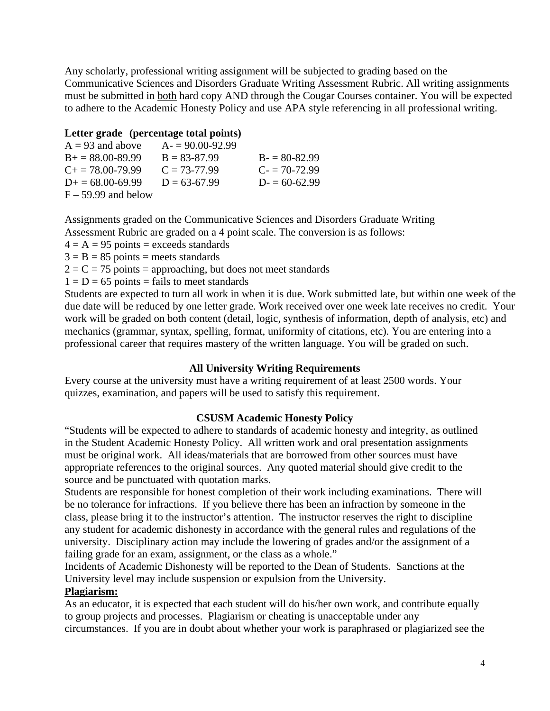Any scholarly, professional writing assignment will be subjected to grading based on the Communicative Sciences and Disorders Graduate Writing Assessment Rubric. All writing assignments must be submitted in both hard copy AND through the Cougar Courses container. You will be expected to adhere to the Academic Honesty Policy and use APA style referencing in all professional writing.

## **Letter grade (percentage total points)**

| $A = 93$ and above        | $A = 90.00 - 92.99$ |                |
|---------------------------|---------------------|----------------|
| $B_+ = 88.00 - 89.99$     | $B = 83 - 87.99$    | $B = 80-82.99$ |
| $C_{\pm} = 78.00 - 79.99$ | $C = 73-77.99$      | $C = 70-72.99$ |
| $D_{\pm} = 68.00 - 69.99$ | $D = 63-67.99$      | $D = 60-62.99$ |
| $F - 59.99$ and below     |                     |                |

Assignments graded on the Communicative Sciences and Disorders Graduate Writing Assessment Rubric are graded on a 4 point scale. The conversion is as follows:

 $4 = A = 95$  points = exceeds standards

 $3 = B = 85$  points = meets standards

 $2 = C = 75$  points = approaching, but does not meet standards

 $1 = D = 65$  points = fails to meet standards

Students are expected to turn all work in when it is due. Work submitted late, but within one week of the due date will be reduced by one letter grade. Work received over one week late receives no credit. Your work will be graded on both content (detail, logic, synthesis of information, depth of analysis, etc) and mechanics (grammar, syntax, spelling, format, uniformity of citations, etc). You are entering into a professional career that requires mastery of the written language. You will be graded on such.

## **All University Writing Requirements**

Every course at the university must have a writing requirement of at least 2500 words. Your quizzes, examination, and papers will be used to satisfy this requirement.

## **CSUSM Academic Honesty Policy**

"Students will be expected to adhere to standards of academic honesty and integrity, as outlined in the Student Academic Honesty Policy. All written work and oral presentation assignments must be original work. All ideas/materials that are borrowed from other sources must have appropriate references to the original sources. Any quoted material should give credit to the source and be punctuated with quotation marks.

Students are responsible for honest completion of their work including examinations. There will be no tolerance for infractions. If you believe there has been an infraction by someone in the class, please bring it to the instructor's attention. The instructor reserves the right to discipline any student for academic dishonesty in accordance with the general rules and regulations of the university. Disciplinary action may include the lowering of grades and/or the assignment of a failing grade for an exam, assignment, or the class as a whole."

Incidents of Academic Dishonesty will be reported to the Dean of Students. Sanctions at the University level may include suspension or expulsion from the University.

## **Plagiarism:**

As an educator, it is expected that each student will do his/her own work, and contribute equally to group projects and processes. Plagiarism or cheating is unacceptable under any circumstances. If you are in doubt about whether your work is paraphrased or plagiarized see the